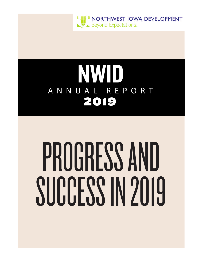

# NWID ANNUAL REPORT 2019

# PROGRESS AND SUCCESS IN 2019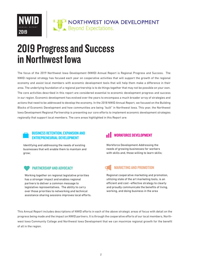

# 2019 Progress and Success in Northwest Iowa

The focus of the 2019 Northwest Iowa Development (NWID) Annual Report is Regional Progress and Success. The NWID regional strategy has focused each year on cooperative activities that will support the growth of the regional economy and assist local members with economic development tools that will help them make a difference in their area. The underlying foundation of a regional partnership is to do things together that may not be possible on your own. The core activities described in this report are considered essential to economic development progress and success in our region. Economic development has evolved over the years to encompass a much broader array of strategies and actions that need to be addressed to develop the economy. In the 2018 NWID Annual Report, we focused on the Building Blocks of Economic Development and how communities are being "built" in Northwest Iowa. This year, the Northwest Iowa Development Regional Partnership is presenting our core efforts to implement economic development strategies regionally that support local members. The core areas highlighted in this Report are:

#### BUSINESS RETENTION, EXPANSION AND BUSINESS RETENTION, EXPANSION AND<br>ENTREPRENEURIAL DEVELOPMENT

Identifying and addressing the needs of existing businesses that will enable them to maintain and grow;

Working together on regional legislative priorities has a stronger impact and enables regional partners to deliver a common message to legislative representatives. The ability to carry over those priorities to networking and technical assistance sharing sessions improves local efforts.

Workforce Development-Addressing the needs of growing businesses for workers with skills and, those willing to learn skills;

#### PARTNERSHIP AND ADVOCACY DELLETING AND PROMOTION

Regional cooperative marketing and promotion, utilizing state of the art marketing tools, is an efficient and cost –effective strategy to clearly and proudly communicate the benefits of living, working, and doing business in the area

This Annual Report includes descriptions of NWID efforts in each of the above strategic areas of focus with detail on the progress being made and the impact on NWID partners. It is through the cooperative efforts of our local members, Northwest Iowa Community College and Northwest Iowa Development that we can maximize regional growth for the benefit of all in the region.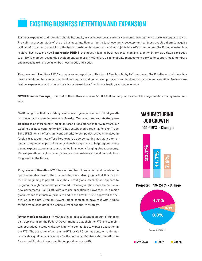### EXISTING BUSINESS RETENTION AND EXPANSION

Business expansion and retention should be, and is, in Northwest Iowa, a primary economic development priority to support growth. Providing a proven, state-of-the art business intelligence tool to local economic development partners enables them to acquire critical information that will form the basis of existing business expansion projects in NWID communities. NWID has invested in a regional license to provide **Synchronist PRIME**, the industry leading business expansion and retention interview software product, to all NWID member economic development partners. NWID offers a regional data management service to support local members and produces trend reports on business needs and issues.

**Progress and Results** – NWID strongly encourages the utilization of Synchronist by its' members. NWID believes that there is a direct correlation between strong business contact and networking programs and business expansion and retention. Business retention, expansions, and growth in each Northwest Iowa County are fueling a strong economy.

**NWID Member Savings** - The cost of the software license (\$800-1,000 annually) and value of the regional data management service.

NWID recognizes that for existing businesses to grow, an element of that growth is growing and expanding markets. **Foreign Trade and export strategy assistance** is an increasingly important area of assistance that NWID offers our existing business community. NWID has established a regional Foreign Trade Zone (FTZ), which offer significant benefits to companies actively involved in foreign trade, and now offers free export trade consulting assistance to regional companies as part of a comprehensive approach to help regional companies explore export market strategies in an ever-changing global economy. Market growth for regional companies leads to business expansions and plans for growth in the future.

**Progress and Results** - NWID has worked hard to establish and maintain the operational structure of the FTZ and there are strong signs that this investment is beginning to pay off. First, the current global marketplace appears to be going through major changes related to trading relationships and potential new agreements. Coil Craft, with a major operation in Hawarden, is a major global trader of industrial products and is the first FTZ site approved for activation in the NWID region. Several other companies have met with NWID's foreign trade consultant to discuss current and future strategy.

**NWID Member Savings** - NWID has invested a substantial amount of funds to gain approval from the Federal Government to establish the FTZ and to maintain operational status while working with companies to explore activation in the FTZ. The activation of a site in the FTZ, as Coil Craft has done, will ultimately provide significant cost savings for the company. Members also benefit from free expert foreign trade consultation provided via NWID.

#### MANUFACTURING JOB GROWTH'09-'19% - Change



Projected '19-'24 % - Change

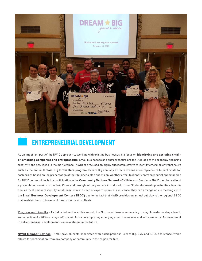

#### ENTREPRENEURIAL DEVELOPMENT

As an important part of the NWID approach to working with existing businesses is a focus on **identifying and assisting smaller, emerging companies and entrepreneurs**. Small businesses and entrepreneurs are the lifeblood of the economy and bring creativity and new ideas to the marketplace. NWID has focused on highly successful efforts to identify emerging entrepreneurs such as the annual **Dream Big Grow Here** program. Dream Big annually attracts dozens of entrepreneurs to participate for cash prizes based on the presentation of their business plan and vision. Another effort to identify entrepreneurial opportunities for NWID communities is the participation in the **Community Venture Network (CVN**) forum. Quarterly, NWID members attend a presentation session in the Twin Cities and throughout the year, are introduced to over 30 development opportunities. In addition, as local partners identify small businesses in need of expert technical assistance, they can arrange onsite meetings with the **Small Business Development Center (SBDC)** due to the fact that NWID provides an annual subsidy to the regional SBDC that enables them to travel and meet directly with clients.

**Progress and Results** - As indicated earlier in this report, the Northwest Iowa economy is growing. In order to stay vibrant, some portion of NWID's strategic efforts will focus on supporting emerging small businesses and entrepreneurs. An investment in entrepreneurial development is an investment in the future.

**NWID Member Savings** - NWID pays all costs associated with participation in Dream Big, CVN and SBDC assistance, which allows for participation from any company or community in the region for free.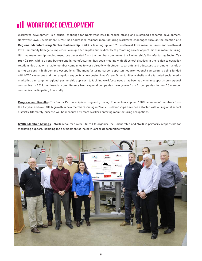## **III** WORKFORCE DEVELOPMENT

Workforce development is a crucial challenge for Northwest Iowa to realize strong and sustained economic development. Northwest Iowa Development (NWID) has addressed regional manufacturing workforce challenges through the creation of a **Regional Manufacturing Sector Partnership**. NWID is teaming up with 25 Northwest Iowa manufacturers and Northwest Iowa Community College to implement a unique action plan aimed directly at promoting career opportunities in manufacturing. Utilizing membership funding resources generated from the member companies, the Partnership's Manufacturing Sector **Career Coach**, with a strong background in manufacturing, has been meeting with all school districts in the region to establish relationships that will enable member companies to work directly with students, parents and educators to promote manufacturing careers in high demand occupations. The manufacturing career opportunities promotional campaign is being funded with NWID resources and the campaign supports a new customized Career Opportunities website and a targeted social media marketing campaign. A regional partnership approach to tackling workforce needs has been growing in support from regional companies. In 2019, the financial commitments from regional companies have grown from 11 companies, to now 25 member companies participating financially.

**Progress and Results** - The Sector Partnership is strong and growing. The partnership had 100% retention of members from the 1st year and over 100% growth in new members joining in Year 2. Relationships have been started with all regional school districts. Ultimately, success will be measured by more workers entering manufacturing occupations.

**NWID Member Savings** - NWID resources were utilized to organize the Partnership and NWID is primarily responsible for marketing support, including the development of the new Career Opportunities website.

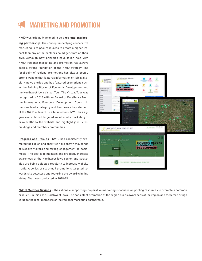## MARKETING AND PROMOTION

NWID was originally formed to be a **regional marketing partnership**. The concept underlying cooperative marketing is to pool resources to create a higher impact than any of the partners could generate on their own. Although new priorities have taken hold with NWID, regional marketing and promotion has always been a strong foundation of the NWID strategy. The focal point of regional promotions has always been a strong website that features information on job availability, news stories and has featured promotions such as the Building Blocks of Economic Development and the Northwest Iowa Virtual Tour. The Virtual Tour was recognized in 2018 with an Award of Excellence from the International Economic Development Council in the New Media category and has been a key element of the NWID outreach to site selectors. NWID has aggressively utilized targeted social media marketing to draw traffic to the website and highlight jobs, sites, buildings and member communities.

**Progress and Results** - NWID has consistently promoted the region and analytics have shown thousands of website visitors and strong engagement on social media. The goal is to maintain and gradually increase awareness of the Northwest Iowa region and strategies are being adjusted regularly to increase website traffic. A series of six e-mail promotions targeted towards site selectors and featuring the award-winning Virtual Tour was conducted in 2018-19.



**NWID Member Savings** - The rationale supporting cooperative marketing is focused on pooling resources to promote a common product….in this case, Northwest Iowa. The consistent promotion of the region builds awareness of the region and therefore brings value to the local members of the regional marketing partnership.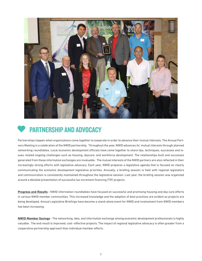

#### PARTNERSHIP AND ADVOCACY

Partnerships happen when organizations come together to cooperate in order to advance their mutual interests. The Annual Partners Meeting is a celebration of the NWID partnership. Throughout the year, NWID advances its' mutual interests through planned networking roundtables. Local economic development officials have come together to share tips, techniques, successes and issues related ongoing challenges such as housing, daycare, and workforce development. The relationships built and successes generated from these information exchanges are invaluable. The mutual interests of the NWID partners are also reflected in their increasingly strong efforts with legislative advocacy. Each year, NWID prepares a legislative agenda that is focused on clearly communicating the economic development legislative priorities. Annually, a briefing session is held with regional legislators and communication is consistently maintained throughout the legislative session. Last year, the briefing session was organized around a detailed presentation of successful tax increment financing (TIF) projects.

**Progress and Results** - NWID information roundtables have focused on successful and promising housing and day care efforts in various NWID member communities. This increased knowledge and the adoption of best practices are evident as projects are being developed. Annual Legislative Briefings have become a stand-alone event for NWID and involvement from NWID members has been increasing.

**NWID Member Savings** - The networking, idea, and information exchange among economic development professionals is highly valuable. The end result is improved, cost -effective projects. The impact of regional legislative advocacy is often greater from a cooperative partnership approach than individual member efforts.